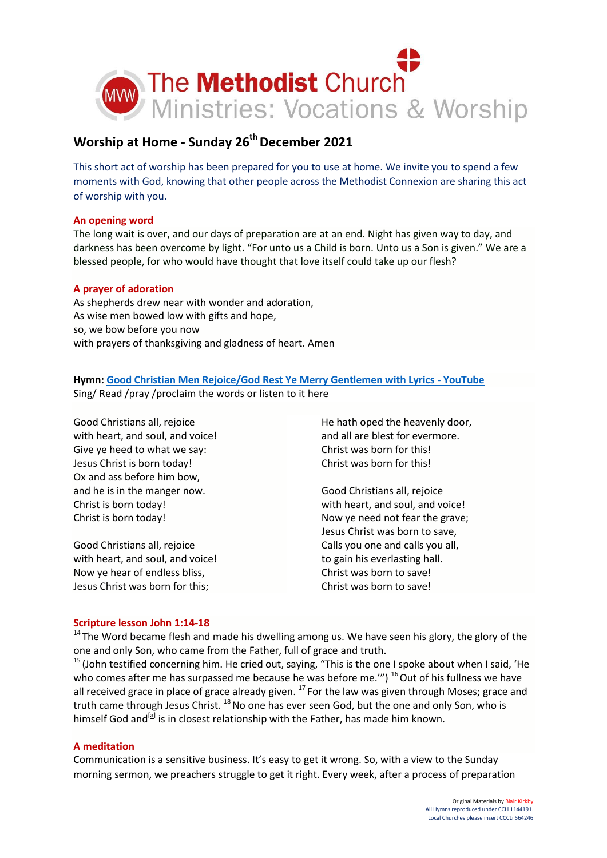

# **Worship at Home - Sunday 26th December 2021**

This short act of worship has been prepared for you to use at home. We invite you to spend a few moments with God, knowing that other people across the Methodist Connexion are sharing this act of worship with you.

# **An opening word**

The long wait is over, and our days of preparation are at an end. Night has given way to day, and darkness has been overcome by light. "For unto us a Child is born. Unto us a Son is given." We are a blessed people, for who would have thought that love itself could take up our flesh?

# **A prayer of adoration**

As shepherds drew near with wonder and adoration, As wise men bowed low with gifts and hope, so, we bow before you now with prayers of thanksgiving and gladness of heart. Amen

# **Hymn[: Good Christian Men Rejoice/God Rest Ye Merry Gentlemen with Lyrics -](https://www.youtube.com/watch?v=Inci7Q2vaEM) YouTube** Sing/ Read /pray /proclaim the words or listen to it here

Good Christians all, rejoice with heart, and soul, and voice! Give ye heed to what we say: Jesus Christ is born today! Ox and ass before him bow, and he is in the manger now. Christ is born today! Christ is born today!

Good Christians all, rejoice with heart, and soul, and voice! Now ye hear of endless bliss, Jesus Christ was born for this;

He hath oped the heavenly door, and all are blest for evermore. Christ was born for this! Christ was born for this!

Good Christians all, rejoice with heart, and soul, and voice! Now ye need not fear the grave; Jesus Christ was born to save, Calls you one and calls you all, to gain his everlasting hall. Christ was born to save! Christ was born to save!

### **Scripture lesson John 1:14-18**

<sup>14</sup> The Word became flesh and made his dwelling among us. We have seen his glory, the glory of the one and only Son, who came from the Father, full of grace and truth.

<sup>15</sup> (John testified concerning him. He cried out, saying, "This is the one I spoke about when I said, 'He who comes after me has surpassed me because he was before me."")  $^{16}$  Out of his fullness we have all received grace in place of grace already given.  $^{17}$  For the law was given through Moses; grace and truth came through Jesus Christ. <sup>18</sup> No one has ever seen God, but the one and only Son, who is himself God and<sup>[\[a\]](https://www.biblegateway.com/passage/?search=John%201:14-18&version=NIV#fen-NIV-26063a)</sup> is in closest relationship with the Father, has made him known.

### **A meditation**

Communication is a sensitive business. It's easy to get it wrong. So, with a view to the Sunday morning sermon, we preachers struggle to get it right. Every week, after a process of preparation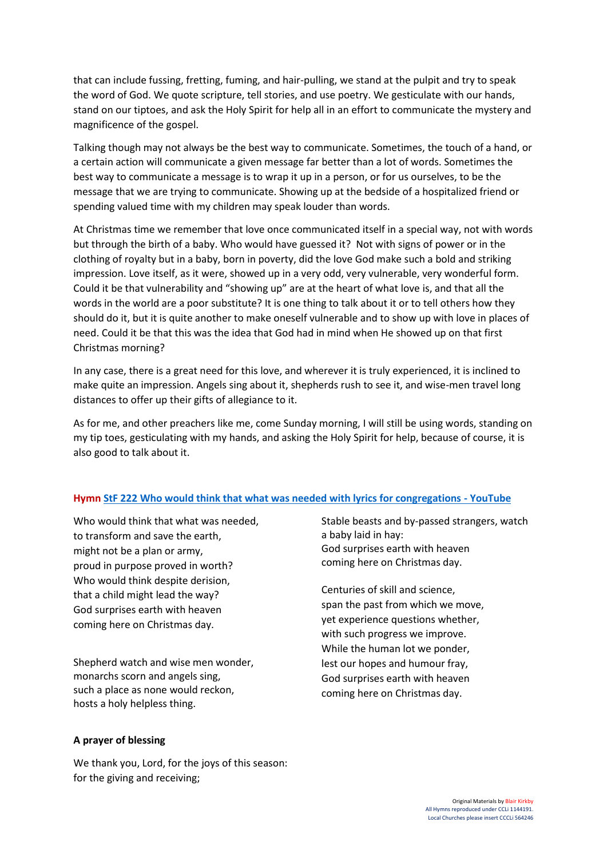that can include fussing, fretting, fuming, and hair-pulling, we stand at the pulpit and try to speak the word of God. We quote scripture, tell stories, and use poetry. We gesticulate with our hands, stand on our tiptoes, and ask the Holy Spirit for help all in an effort to communicate the mystery and magnificence of the gospel.

Talking though may not always be the best way to communicate. Sometimes, the touch of a hand, or a certain action will communicate a given message far better than a lot of words. Sometimes the best way to communicate a message is to wrap it up in a person, or for us ourselves, to be the message that we are trying to communicate. Showing up at the bedside of a hospitalized friend or spending valued time with my children may speak louder than words.

At Christmas time we remember that love once communicated itself in a special way, not with words but through the birth of a baby. Who would have guessed it? Not with signs of power or in the clothing of royalty but in a baby, born in poverty, did the love God make such a bold and striking impression. Love itself, as it were, showed up in a very odd, very vulnerable, very wonderful form. Could it be that vulnerability and "showing up" are at the heart of what love is, and that all the words in the world are a poor substitute? It is one thing to talk about it or to tell others how they should do it, but it is quite another to make oneself vulnerable and to show up with love in places of need. Could it be that this was the idea that God had in mind when He showed up on that first Christmas morning?

In any case, there is a great need for this love, and wherever it is truly experienced, it is inclined to make quite an impression. Angels sing about it, shepherds rush to see it, and wise-men travel long distances to offer up their gifts of allegiance to it.

As for me, and other preachers like me, come Sunday morning, I will still be using words, standing on my tip toes, gesticulating with my hands, and asking the Holy Spirit for help, because of course, it is also good to talk about it.

### **Hym[n StF 222 Who would think that what was needed with lyrics for congregations -](https://www.youtube.com/watch?v=kD44CacPPbI) YouTube**

Who would think that what was needed, to transform and save the earth, might not be a plan or army, proud in purpose proved in worth? Who would think despite derision, that a child might lead the way? God surprises earth with heaven coming here on Christmas day.

Shepherd watch and wise men wonder, monarchs scorn and angels sing, such a place as none would reckon, hosts a holy helpless thing.

### **A prayer of blessing**

We thank you, Lord, for the joys of this season: for the giving and receiving;

Stable beasts and by-passed strangers, watch a baby laid in hay: God surprises earth with heaven coming here on Christmas day.

Centuries of skill and science, span the past from which we move, yet experience questions whether, with such progress we improve. While the human lot we ponder, lest our hopes and humour fray, God surprises earth with heaven coming here on Christmas day.